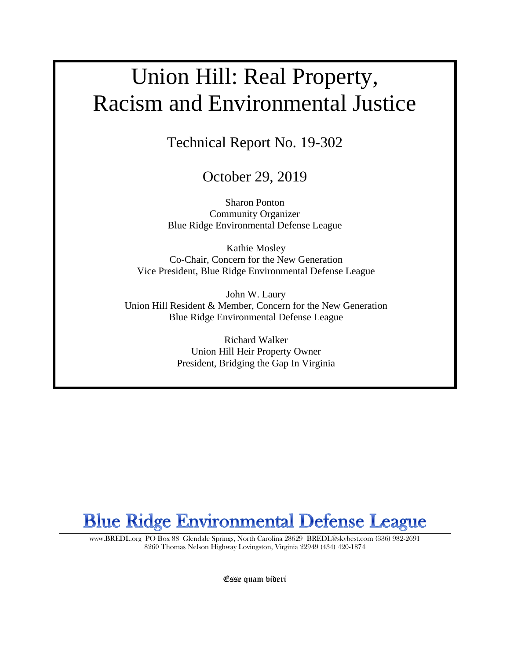# Union Hill: Real Property, Racism and Environmental Justice

Technical Report No. 19-302

October 29, 2019

Sharon Ponton Community Organizer Blue Ridge Environmental Defense League

Kathie Mosley Co-Chair, Concern for the New Generation Vice President, Blue Ridge Environmental Defense League

John W. Laury Union Hill Resident & Member, Concern for the New Generation Blue Ridge Environmental Defense League

> Richard Walker Union Hill Heir Property Owner President, Bridging the Gap In Virginia



[www.BREDL.org](http://www.bredl.org/) PO Box 88 Glendale Springs, North Carolina 28629 [BREDL@skybest.com](mailto:BREDL@skybest.com) (336) 982-2691 8260 Thomas Nelson Highway Lovingston, Virginia 22949 (434) 420-1874

Esse quam videri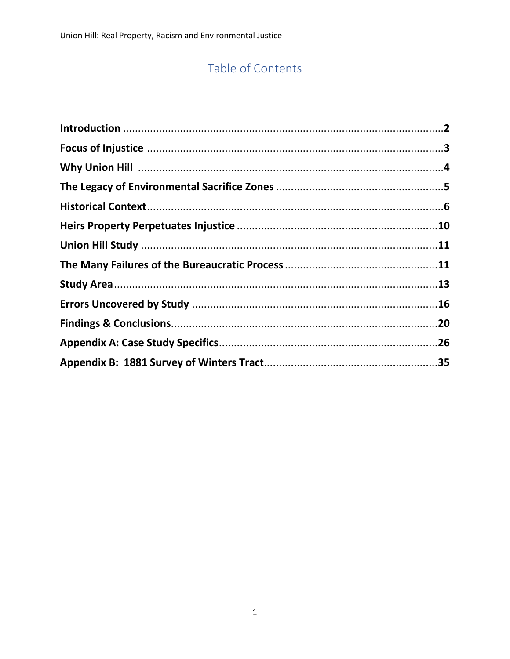# Table of Contents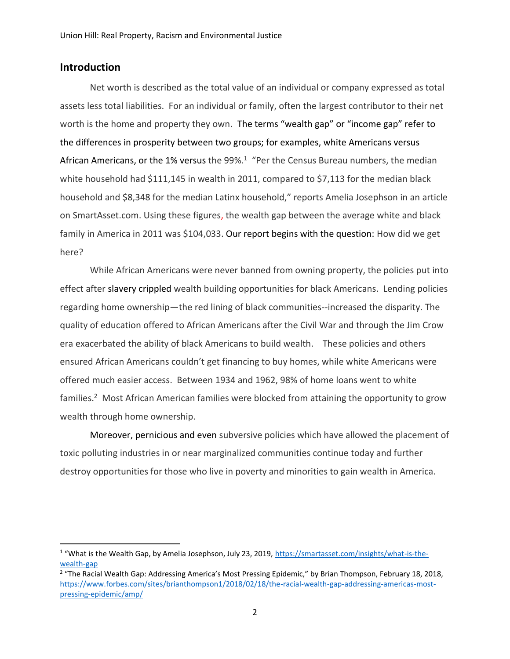# **Introduction**

Net worth is described as the total value of an individual or company expressed as total assets less total liabilities. For an individual or family, often the largest contributor to their net worth is the home and property they own. The terms "wealth gap" or "income gap" refer to the differences in prosperity between two groups; for examples, white Americans versus African Americans, or the 1% versus the 99%. $1$  "Per the Census Bureau numbers, the median white household had \$111,145 in wealth in 2011, compared to \$7,113 for the median black household and \$8,348 for the median Latinx household," reports Amelia Josephson in an article on SmartAsset.com. Using these figures, the wealth gap between the average white and black family in America in 2011 was \$104,033. Our report begins with the question: How did we get here?

While African Americans were never banned from owning property, the policies put into effect after slavery crippled wealth building opportunities for black Americans. Lending policies regarding home ownership—the red lining of black communities--increased the disparity. The quality of education offered to African Americans after the Civil War and through the Jim Crow era exacerbated the ability of black Americans to build wealth. These policies and others ensured African Americans couldn't get financing to buy homes, while white Americans were offered much easier access. Between 1934 and 1962, 98% of home loans went to white families.<sup>2</sup> Most African American families were blocked from attaining the opportunity to grow wealth through home ownership.

Moreover, pernicious and even subversive policies which have allowed the placement of toxic polluting industries in or near marginalized communities continue today and further destroy opportunities for those who live in poverty and minorities to gain wealth in America.

<sup>&</sup>lt;sup>1</sup> "What is the Wealth Gap, by Amelia Josephson, July 23, 2019, [https://smartasset.com/insights/what-is-the](https://smartasset.com/insights/what-is-the-wealth-gap)[wealth-gap](https://smartasset.com/insights/what-is-the-wealth-gap)

<sup>&</sup>lt;sup>2</sup> "The Racial Wealth Gap: Addressing America's Most Pressing Epidemic," by Brian Thompson, February 18, 2018, [https://www.forbes.com/sites/brianthompson1/2018/02/18/the-racial-wealth-gap-addressing-americas-most](https://www.forbes.com/sites/brianthompson1/2018/02/18/the-racial-wealth-gap-addressing-americas-most-pressing-epidemic/amp/)[pressing-epidemic/amp/](https://www.forbes.com/sites/brianthompson1/2018/02/18/the-racial-wealth-gap-addressing-americas-most-pressing-epidemic/amp/)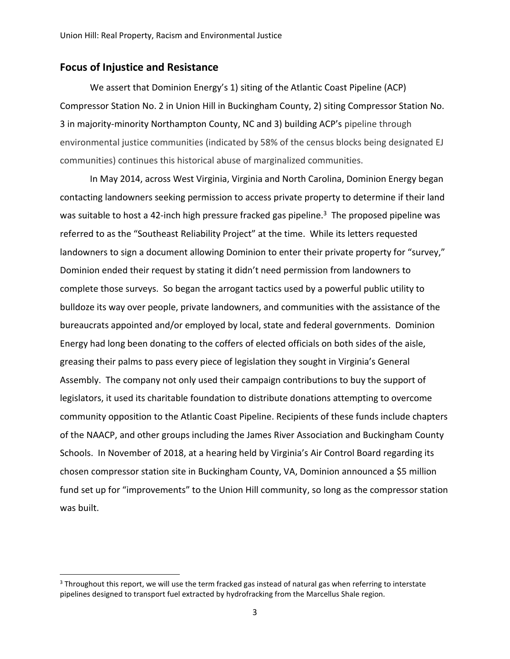# **Focus of Injustice and Resistance**

We assert that Dominion Energy's 1) siting of the Atlantic Coast Pipeline (ACP) Compressor Station No. 2 in Union Hill in Buckingham County, 2) siting Compressor Station No. 3 in majority-minority Northampton County, NC and 3) building ACP's pipeline through environmental justice communities (indicated by 58% of the census blocks being designated EJ communities) continues this historical abuse of marginalized communities.

In May 2014, across West Virginia, Virginia and North Carolina, Dominion Energy began contacting landowners seeking permission to access private property to determine if their land was suitable to host a 42-inch high pressure fracked gas pipeline.<sup>3</sup> The proposed pipeline was referred to as the "Southeast Reliability Project" at the time. While its letters requested landowners to sign a document allowing Dominion to enter their private property for "survey," Dominion ended their request by stating it didn't need permission from landowners to complete those surveys. So began the arrogant tactics used by a powerful public utility to bulldoze its way over people, private landowners, and communities with the assistance of the bureaucrats appointed and/or employed by local, state and federal governments. Dominion Energy had long been donating to the coffers of elected officials on both sides of the aisle, greasing their palms to pass every piece of legislation they sought in Virginia's General Assembly. The company not only used their campaign contributions to buy the support of legislators, it used its charitable foundation to distribute donations attempting to overcome community opposition to the Atlantic Coast Pipeline. Recipients of these funds include chapters of the NAACP, and other groups including the James River Association and Buckingham County Schools. In November of 2018, at a hearing held by Virginia's Air Control Board regarding its chosen compressor station site in Buckingham County, VA, Dominion announced a \$5 million fund set up for "improvements" to the Union Hill community, so long as the compressor station was built.

<sup>&</sup>lt;sup>3</sup> Throughout this report, we will use the term fracked gas instead of natural gas when referring to interstate pipelines designed to transport fuel extracted by hydrofracking from the Marcellus Shale region.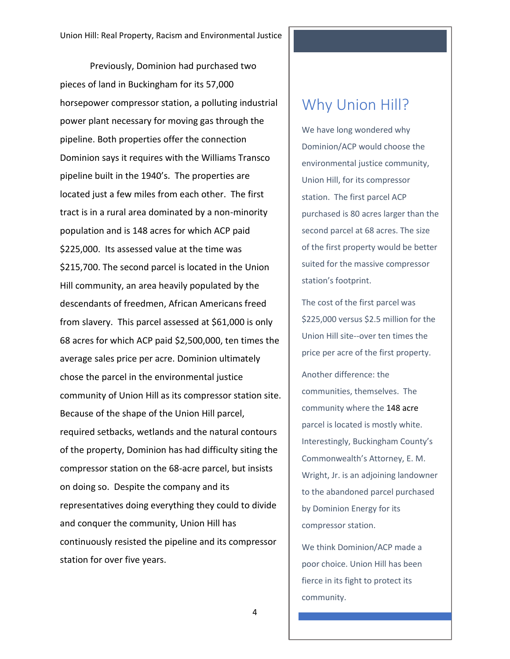Previously, Dominion had purchased two pieces of land in Buckingham for its 57,000 horsepower compressor station, a polluting industrial power plant necessary for moving gas through the pipeline. Both properties offer the connection Dominion says it requires with the Williams Transco pipeline built in the 1940's. The properties are located just a few miles from each other. The first tract is in a rural area dominated by a non-minority population and is 148 acres for which ACP paid \$225,000. Its assessed value at the time was \$215,700. The second parcel is located in the Union Hill community, an area heavily populated by the descendants of freedmen, African Americans freed from slavery. This parcel assessed at \$61,000 is only 68 acres for which ACP paid \$2,500,000, ten times the average sales price per acre. Dominion ultimately chose the parcel in the environmental justice community of Union Hill as its compressor station site. Because of the shape of the Union Hill parcel, required setbacks, wetlands and the natural contours of the property, Dominion has had difficulty siting the compressor station on the 68-acre parcel, but insists on doing so. Despite the company and its representatives doing everything they could to divide and conquer the community, Union Hill has continuously resisted the pipeline and its compressor station for over five years.

# Why Union Hill?

We have long wondered why Dominion/ACP would choose the environmental justice community, Union Hill, for its compressor station. The first parcel ACP purchased is 80 acres larger than the second parcel at 68 acres. The size of the first property would be better suited for the massive compressor station's footprint.

The cost of the first parcel was \$225,000 versus \$2.5 million for the Union Hill site--over ten times the price per acre of the first property.

Another difference: the communities, themselves. The community where the 148 acre parcel is located is mostly white. Interestingly, Buckingham County's Commonwealth's Attorney, E. M. Wright, Jr. is an adjoining landowner to the abandoned parcel purchased by Dominion Energy for its compressor station.

We think Dominion/ACP made a poor choice. Union Hill has been fierce in its fight to protect its community.

4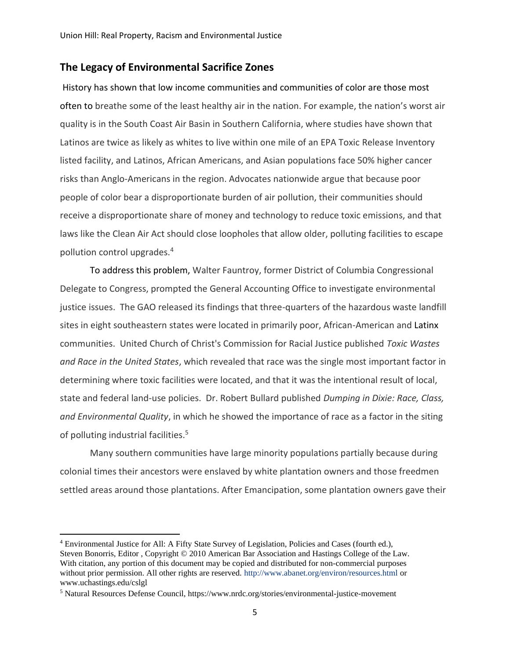# **The Legacy of Environmental Sacrifice Zones**

History has shown that low income communities and communities of color are those most often to breathe some of the least healthy air in the nation. For example, the nation's worst air quality is in the South Coast Air Basin in Southern California, where studies have shown that Latinos are twice as likely as whites to live within one mile of an EPA Toxic Release Inventory listed facility, and Latinos, African Americans, and Asian populations face 50% higher cancer risks than Anglo-Americans in the region. Advocates nationwide argue that because poor people of color bear a disproportionate burden of air pollution, their communities should receive a disproportionate share of money and technology to reduce toxic emissions, and that laws like the Clean Air Act should close loopholes that allow older, polluting facilities to escape pollution control upgrades.<sup>4</sup>

To address this problem, Walter Fauntroy, former District of Columbia Congressional Delegate to Congress, prompted the General Accounting Office to investigate environmental justice issues. The GAO released its findings that three-quarters of the hazardous waste landfill sites in eight southeastern states were located in primarily poor, African-American and Latinx communities. United Church of Christ's Commission for Racial Justice published *Toxic Wastes and Race in the United States*, which revealed that race was the single most important factor in determining where toxic facilities were located, and that it was the intentional result of local, state and federal land-use policies. Dr. Robert Bullard published *Dumping in Dixie: Race, Class, and Environmental Quality*, in which he showed the importance of race as a factor in the siting of polluting industrial facilities.<sup>5</sup>

Many southern communities have large minority populations partially because during colonial times their ancestors were enslaved by white plantation owners and those freedmen settled areas around those plantations. After Emancipation, some plantation owners gave their

<sup>4</sup> Environmental Justice for All: A Fifty State Survey of Legislation, Policies and Cases (fourth ed.), Steven Bonorris, Editor , Copyright © 2010 American Bar Association and Hastings College of the Law. With citation, any portion of this document may be copied and distributed for non-commercial purposes without prior permission. All other rights are reserved. http://www.abanet.org/environ/resources.html or www.uchastings.edu/cslgl

<sup>5</sup> Natural Resources Defense Council, https://www.nrdc.org/stories/environmental-justice-movement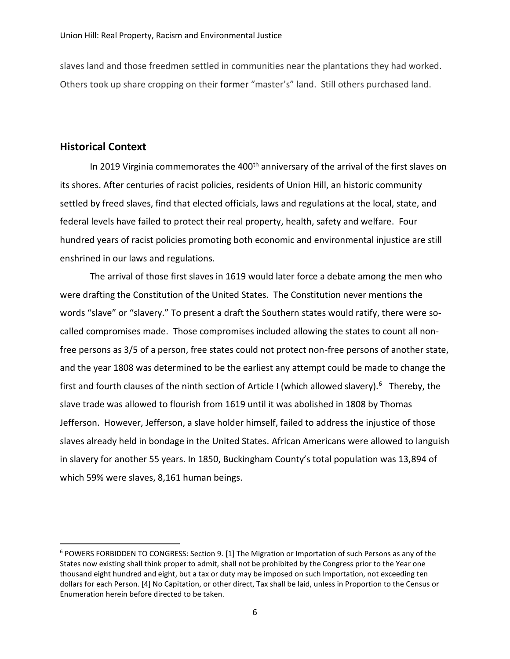slaves land and those freedmen settled in communities near the plantations they had worked. Others took up share cropping on their former "master's" land. Still others purchased land.

# **Historical Context**

In 2019 Virginia commemorates the 400<sup>th</sup> anniversary of the arrival of the first slaves on its shores. After centuries of racist policies, residents of Union Hill, an historic community settled by freed slaves, find that elected officials, laws and regulations at the local, state, and federal levels have failed to protect their real property, health, safety and welfare. Four hundred years of racist policies promoting both economic and environmental injustice are still enshrined in our laws and regulations.

The arrival of those first slaves in 1619 would later force a debate among the men who were drafting the Constitution of the United States. The Constitution never mentions the words "slave" or "slavery." To present a draft the Southern states would ratify, there were socalled compromises made. Those compromises included allowing the states to count all nonfree persons as 3/5 of a person, free states could not protect non-free persons of another state, and the year 1808 was determined to be the earliest any attempt could be made to change the first and fourth clauses of the ninth section of Article I (which allowed slavery).<sup>6</sup> Thereby, the slave trade was allowed to flourish from 1619 until it was abolished in 1808 by Thomas Jefferson. However, Jefferson, a slave holder himself, failed to address the injustice of those slaves already held in bondage in the United States. African Americans were allowed to languish in slavery for another 55 years. In 1850, Buckingham County's total population was 13,894 of which 59% were slaves, 8,161 human beings.

<sup>6</sup> POWERS FORBIDDEN TO CONGRESS: Section 9. [1] The Migration or Importation of such Persons as any of the States now existing shall think proper to admit, shall not be prohibited by the Congress prior to the Year one thousand eight hundred and eight, but a tax or duty may be imposed on such Importation, not exceeding ten dollars for each Person. [4] No Capitation, or other direct, Tax shall be laid, unless in Proportion to the Census or Enumeration herein before directed to be taken.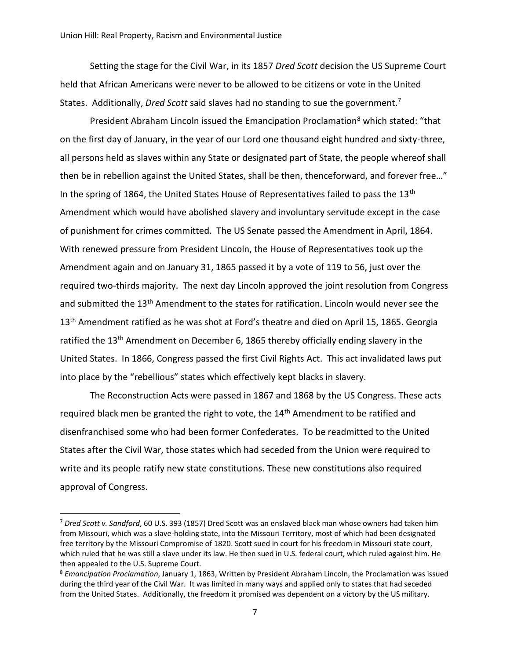Setting the stage for the Civil War, in its 1857 *Dred Scott* decision the US Supreme Court held that African Americans were never to be allowed to be citizens or vote in the United States. Additionally, *Dred Scott* said slaves had no standing to sue the government.<sup>7</sup>

President Abraham Lincoln issued the Emancipation Proclamation<sup>8</sup> which stated: "that on the first day of January, in the year of our Lord one thousand eight hundred and sixty-three, all persons held as slaves within any State or designated part of State, the people whereof shall then be in rebellion against the United States, shall be then, thenceforward, and forever free…" In the spring of 1864, the United States House of Representatives failed to pass the 13<sup>th</sup> Amendment which would have abolished slavery and involuntary servitude except in the case of punishment for crimes committed. The US Senate passed the Amendment in April, 1864. With renewed pressure from President Lincoln, the House of Representatives took up the Amendment again and on January 31, 1865 passed it by a vote of 119 to 56, just over the required two-thirds majority. The next day Lincoln approved the joint resolution from Congress and submitted the 13<sup>th</sup> Amendment to the states for ratification. Lincoln would never see the 13<sup>th</sup> Amendment ratified as he was shot at Ford's theatre and died on April 15, 1865. Georgia ratified the 13<sup>th</sup> Amendment on December 6, 1865 thereby officially ending slavery in the United States. In 1866, Congress passed the first Civil Rights Act. This act invalidated laws put into place by the "rebellious" states which effectively kept blacks in slavery.

The Reconstruction Acts were passed in 1867 and 1868 by the US Congress. These acts required black men be granted the right to vote, the 14<sup>th</sup> Amendment to be ratified and disenfranchised some who had been former Confederates. To be readmitted to the United States after the Civil War, those states which had seceded from the Union were required to write and its people ratify new state constitutions. These new constitutions also required approval of Congress.

<sup>7</sup> *Dred Scott v. Sandford*, 60 U.S. 393 (1857) Dred Scott was an enslaved black man whose owners had taken him from Missouri, which was a slave-holding state, into the Missouri Territory, most of which had been designated free territory by the Missouri Compromise of 1820. Scott sued in court for his freedom in Missouri state court, which ruled that he was still a slave under its law. He then sued in U.S. federal court, which ruled against him. He then appealed to the U.S. Supreme Court.

<sup>8</sup> *Emancipation Proclamation*, January 1, 1863, Written by President Abraham Lincoln, the Proclamation was issued during the third year of the Civil War. It was limited in many ways and applied only to states that had seceded from the United States. Additionally, the freedom it promised was dependent on a victory by the US military.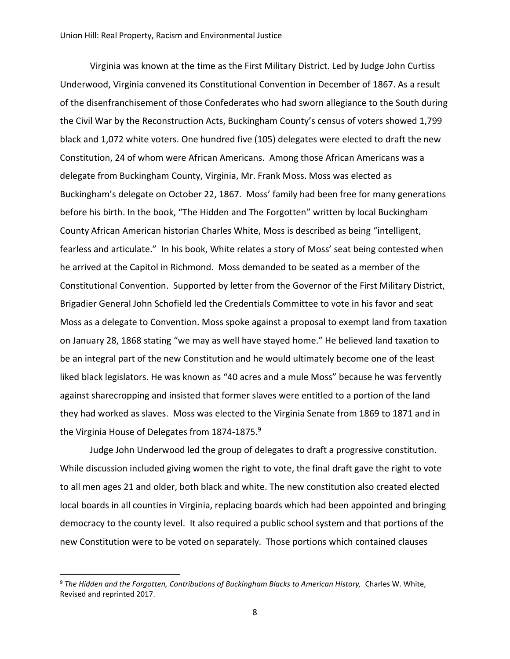Virginia was known at the time as the First Military District. Led by Judge John Curtiss Underwood, Virginia convened its Constitutional Convention in December of 1867. As a result of the disenfranchisement of those Confederates who had sworn allegiance to the South during the Civil War by the Reconstruction Acts, Buckingham County's census of voters showed 1,799 black and 1,072 white voters. One hundred five (105) delegates were elected to draft the new Constitution, 24 of whom were African Americans. Among those African Americans was a delegate from Buckingham County, Virginia, Mr. Frank Moss. Moss was elected as Buckingham's delegate on October 22, 1867. Moss' family had been free for many generations before his birth. In the book, "The Hidden and The Forgotten" written by local Buckingham County African American historian Charles White, Moss is described as being "intelligent, fearless and articulate." In his book, White relates a story of Moss' seat being contested when he arrived at the Capitol in Richmond. Moss demanded to be seated as a member of the Constitutional Convention. Supported by letter from the Governor of the First Military District, Brigadier General John Schofield led the Credentials Committee to vote in his favor and seat Moss as a delegate to Convention. Moss spoke against a proposal to exempt land from taxation on January 28, 1868 stating "we may as well have stayed home." He believed land taxation to be an integral part of the new Constitution and he would ultimately become one of the least liked black legislators. He was known as "40 acres and a mule Moss" because he was fervently against sharecropping and insisted that former slaves were entitled to a portion of the land they had worked as slaves. Moss was elected to the Virginia Senate from 1869 to 1871 and in the Virginia House of Delegates from 1874-1875.<sup>9</sup>

Judge John Underwood led the group of delegates to draft a progressive constitution. While discussion included giving women the right to vote, the final draft gave the right to vote to all men ages 21 and older, both black and white. The new constitution also created elected local boards in all counties in Virginia, replacing boards which had been appointed and bringing democracy to the county level. It also required a public school system and that portions of the new Constitution were to be voted on separately. Those portions which contained clauses

<sup>9</sup> *The Hidden and the Forgotten, Contributions of Buckingham Blacks to American History,* Charles W. White, Revised and reprinted 2017.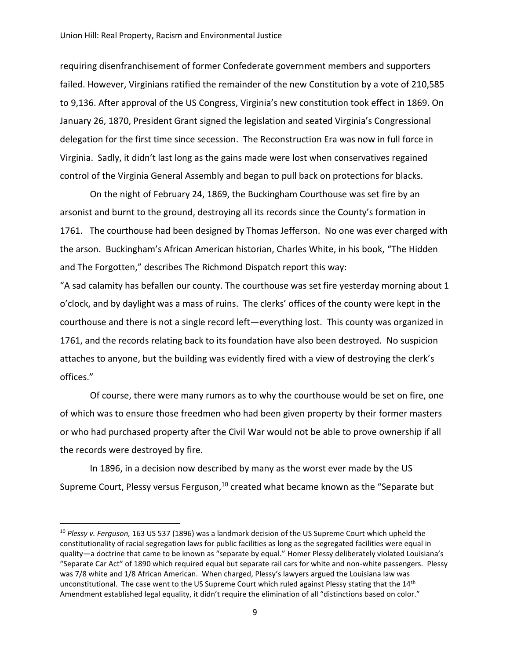requiring disenfranchisement of former Confederate government members and supporters failed. However, Virginians ratified the remainder of the new Constitution by a vote of 210,585 to 9,136. After approval of the US Congress, Virginia's new constitution took effect in 1869. On January 26, 1870, President Grant signed the legislation and seated Virginia's Congressional delegation for the first time since secession. The Reconstruction Era was now in full force in Virginia. Sadly, it didn't last long as the gains made were lost when conservatives regained control of the Virginia General Assembly and began to pull back on protections for blacks.

On the night of February 24, 1869, the Buckingham Courthouse was set fire by an arsonist and burnt to the ground, destroying all its records since the County's formation in 1761. The courthouse had been designed by Thomas Jefferson. No one was ever charged with the arson. Buckingham's African American historian, Charles White, in his book, "The Hidden and The Forgotten," describes The Richmond Dispatch report this way:

"A sad calamity has befallen our county. The courthouse was set fire yesterday morning about 1 o'clock, and by daylight was a mass of ruins. The clerks' offices of the county were kept in the courthouse and there is not a single record left—everything lost. This county was organized in 1761, and the records relating back to its foundation have also been destroyed. No suspicion attaches to anyone, but the building was evidently fired with a view of destroying the clerk's offices."

Of course, there were many rumors as to why the courthouse would be set on fire, one of which was to ensure those freedmen who had been given property by their former masters or who had purchased property after the Civil War would not be able to prove ownership if all the records were destroyed by fire.

In 1896, in a decision now described by many as the worst ever made by the US Supreme Court, Plessy versus Ferguson, $10$  created what became known as the "Separate but

<sup>10</sup> *Plessy v. Ferguson,* 163 US 537 (1896) was a landmark decision of the US Supreme Court which upheld the constitutionality of racial segregation laws for public facilities as long as the segregated facilities were equal in quality—a doctrine that came to be known as "separate by equal." Homer Plessy deliberately violated Louisiana's "Separate Car Act" of 1890 which required equal but separate rail cars for white and non-white passengers. Plessy was 7/8 white and 1/8 African American. When charged, Plessy's lawyers argued the Louisiana law was unconstitutional. The case went to the US Supreme Court which ruled against Plessy stating that the  $14<sup>th</sup>$ Amendment established legal equality, it didn't require the elimination of all "distinctions based on color."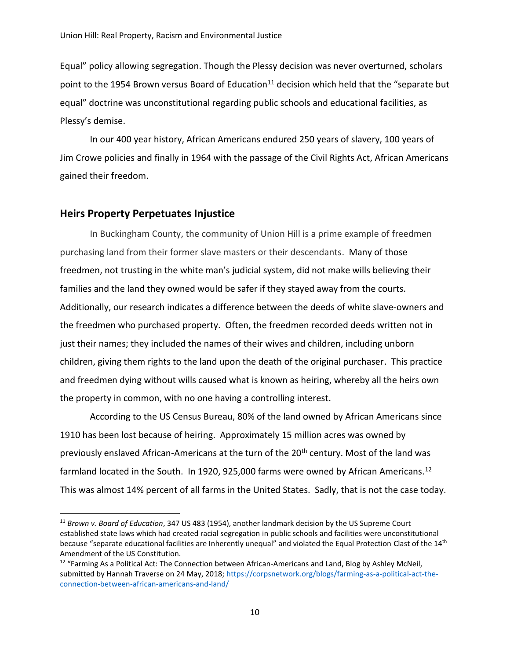Equal" policy allowing segregation. Though the Plessy decision was never overturned, scholars point to the 1954 Brown versus Board of Education<sup>11</sup> decision which held that the "separate but equal" doctrine was unconstitutional regarding public schools and educational facilities, as Plessy's demise.

In our 400 year history, African Americans endured 250 years of slavery, 100 years of Jim Crowe policies and finally in 1964 with the passage of the Civil Rights Act, African Americans gained their freedom.

#### **Heirs Property Perpetuates Injustice**

In Buckingham County, the community of Union Hill is a prime example of freedmen purchasing land from their former slave masters or their descendants. Many of those freedmen, not trusting in the white man's judicial system, did not make wills believing their families and the land they owned would be safer if they stayed away from the courts. Additionally, our research indicates a difference between the deeds of white slave-owners and the freedmen who purchased property. Often, the freedmen recorded deeds written not in just their names; they included the names of their wives and children, including unborn children, giving them rights to the land upon the death of the original purchaser. This practice and freedmen dying without wills caused what is known as heiring, whereby all the heirs own the property in common, with no one having a controlling interest.

According to the US Census Bureau, 80% of the land owned by African Americans since 1910 has been lost because of heiring. Approximately 15 million acres was owned by previously enslaved African-Americans at the turn of the 20<sup>th</sup> century. Most of the land was farmland located in the South. In 1920, 925,000 farms were owned by African Americans.<sup>12</sup> This was almost 14% percent of all farms in the United States. Sadly, that is not the case today.

<sup>11</sup> *Brown v. Board of Education*, 347 US 483 (1954), another landmark decision by the US Supreme Court established state laws which had created racial segregation in public schools and facilities were unconstitutional because "separate educational facilities are Inherently unequal" and violated the Equal Protection Clast of the 14<sup>th</sup> Amendment of the US Constitution.

 $12$  "Farming As a Political Act: The Connection between African-Americans and Land, Blog by Ashley McNeil, submitted by Hannah Traverse on 24 May, 2018; [https://corpsnetwork.org/blogs/farming-as-a-political-act-the](https://corpsnetwork.org/blogs/farming-as-a-political-act-the-connection-between-african-americans-and-land/)[connection-between-african-americans-and-land/](https://corpsnetwork.org/blogs/farming-as-a-political-act-the-connection-between-african-americans-and-land/)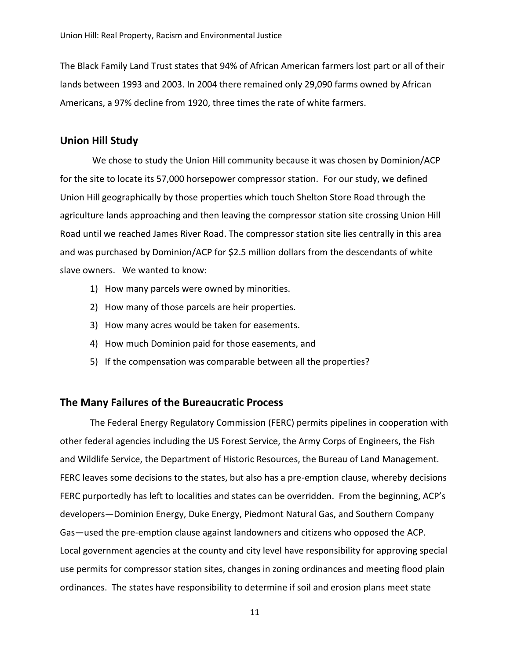The Black Family Land Trust states that 94% of African American farmers lost part or all of their lands between 1993 and 2003. In 2004 there remained only 29,090 farms owned by African Americans, a 97% decline from 1920, three times the rate of white farmers.

# **Union Hill Study**

We chose to study the Union Hill community because it was chosen by Dominion/ACP for the site to locate its 57,000 horsepower compressor station. For our study, we defined Union Hill geographically by those properties which touch Shelton Store Road through the agriculture lands approaching and then leaving the compressor station site crossing Union Hill Road until we reached James River Road. The compressor station site lies centrally in this area and was purchased by Dominion/ACP for \$2.5 million dollars from the descendants of white slave owners. We wanted to know:

- 1) How many parcels were owned by minorities.
- 2) How many of those parcels are heir properties.
- 3) How many acres would be taken for easements.
- 4) How much Dominion paid for those easements, and
- 5) If the compensation was comparable between all the properties?

# **The Many Failures of the Bureaucratic Process**

The Federal Energy Regulatory Commission (FERC) permits pipelines in cooperation with other federal agencies including the US Forest Service, the Army Corps of Engineers, the Fish and Wildlife Service, the Department of Historic Resources, the Bureau of Land Management. FERC leaves some decisions to the states, but also has a pre-emption clause, whereby decisions FERC purportedly has left to localities and states can be overridden. From the beginning, ACP's developers—Dominion Energy, Duke Energy, Piedmont Natural Gas, and Southern Company Gas—used the pre-emption clause against landowners and citizens who opposed the ACP. Local government agencies at the county and city level have responsibility for approving special use permits for compressor station sites, changes in zoning ordinances and meeting flood plain ordinances. The states have responsibility to determine if soil and erosion plans meet state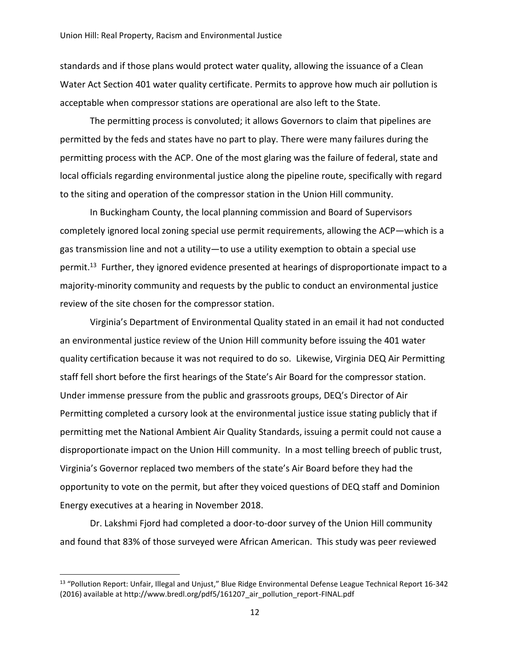standards and if those plans would protect water quality, allowing the issuance of a Clean Water Act Section 401 water quality certificate. Permits to approve how much air pollution is acceptable when compressor stations are operational are also left to the State.

The permitting process is convoluted; it allows Governors to claim that pipelines are permitted by the feds and states have no part to play. There were many failures during the permitting process with the ACP. One of the most glaring was the failure of federal, state and local officials regarding environmental justice along the pipeline route, specifically with regard to the siting and operation of the compressor station in the Union Hill community.

In Buckingham County, the local planning commission and Board of Supervisors completely ignored local zoning special use permit requirements, allowing the ACP—which is a gas transmission line and not a utility—to use a utility exemption to obtain a special use permit.<sup>13</sup> Further, they ignored evidence presented at hearings of disproportionate impact to a majority-minority community and requests by the public to conduct an environmental justice review of the site chosen for the compressor station.

Virginia's Department of Environmental Quality stated in an email it had not conducted an environmental justice review of the Union Hill community before issuing the 401 water quality certification because it was not required to do so. Likewise, Virginia DEQ Air Permitting staff fell short before the first hearings of the State's Air Board for the compressor station. Under immense pressure from the public and grassroots groups, DEQ's Director of Air Permitting completed a cursory look at the environmental justice issue stating publicly that if permitting met the National Ambient Air Quality Standards, issuing a permit could not cause a disproportionate impact on the Union Hill community. In a most telling breech of public trust, Virginia's Governor replaced two members of the state's Air Board before they had the opportunity to vote on the permit, but after they voiced questions of DEQ staff and Dominion Energy executives at a hearing in November 2018.

Dr. Lakshmi Fjord had completed a door-to-door survey of the Union Hill community and found that 83% of those surveyed were African American. This study was peer reviewed

<sup>&</sup>lt;sup>13</sup> "Pollution Report: Unfair, Illegal and Unjust," Blue Ridge Environmental Defense League Technical Report 16-342 (2016) available at http://www.bredl.org/pdf5/161207\_air\_pollution\_report-FINAL.pdf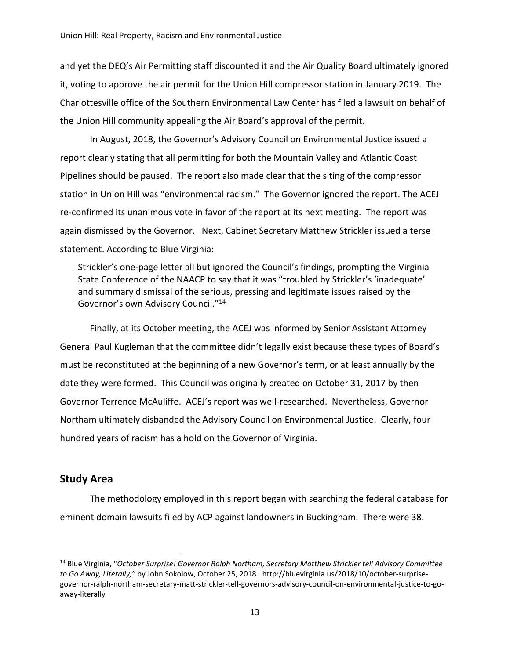and yet the DEQ's Air Permitting staff discounted it and the Air Quality Board ultimately ignored it, voting to approve the air permit for the Union Hill compressor station in January 2019. The Charlottesville office of the Southern Environmental Law Center has filed a lawsuit on behalf of the Union Hill community appealing the Air Board's approval of the permit.

In August, 2018, the Governor's Advisory Council on Environmental Justice issued a report clearly stating that all permitting for both the Mountain Valley and Atlantic Coast Pipelines should be paused. The report also made clear that the siting of the compressor station in Union Hill was "environmental racism." The Governor ignored the report. The ACEJ re-confirmed its unanimous vote in favor of the report at its next meeting. The report was again dismissed by the Governor. Next, Cabinet Secretary Matthew Strickler issued a terse statement. According to Blue Virginia:

Strickler's one-page letter all but ignored the Council's findings, prompting the Virginia State Conference of the NAACP to say that it was "troubled by Strickler's 'inadequate' and summary dismissal of the serious, pressing and legitimate issues raised by the Governor's own Advisory Council."<sup>14</sup>

Finally, at its October meeting, the ACEJ was informed by Senior Assistant Attorney General Paul Kugleman that the committee didn't legally exist because these types of Board's must be reconstituted at the beginning of a new Governor's term, or at least annually by the date they were formed. This Council was originally created on October 31, 2017 by then Governor Terrence McAuliffe. ACEJ's report was well-researched. Nevertheless, Governor Northam ultimately disbanded the Advisory Council on Environmental Justice. Clearly, four hundred years of racism has a hold on the Governor of Virginia.

#### **Study Area**

The methodology employed in this report began with searching the federal database for eminent domain lawsuits filed by ACP against landowners in Buckingham. There were 38.

<sup>14</sup> Blue Virginia, "*October Surprise! Governor Ralph Northam, Secretary Matthew Strickler tell Advisory Committee to Go Away, Literally,"* by John Sokolow, October 25, 2018. http://bluevirginia.us/2018/10/october-surprisegovernor-ralph-northam-secretary-matt-strickler-tell-governors-advisory-council-on-environmental-justice-to-goaway-literally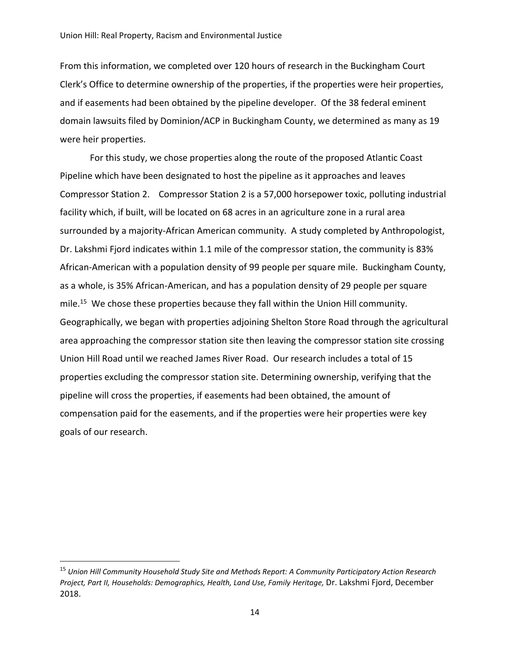From this information, we completed over 120 hours of research in the Buckingham Court Clerk's Office to determine ownership of the properties, if the properties were heir properties, and if easements had been obtained by the pipeline developer. Of the 38 federal eminent domain lawsuits filed by Dominion/ACP in Buckingham County, we determined as many as 19 were heir properties.

For this study, we chose properties along the route of the proposed Atlantic Coast Pipeline which have been designated to host the pipeline as it approaches and leaves Compressor Station 2. Compressor Station 2 is a 57,000 horsepower toxic, polluting industrial facility which, if built, will be located on 68 acres in an agriculture zone in a rural area surrounded by a majority-African American community. A study completed by Anthropologist, Dr. Lakshmi Fjord indicates within 1.1 mile of the compressor station, the community is 83% African-American with a population density of 99 people per square mile. Buckingham County, as a whole, is 35% African-American, and has a population density of 29 people per square mile.<sup>15</sup> We chose these properties because they fall within the Union Hill community. Geographically, we began with properties adjoining Shelton Store Road through the agricultural area approaching the compressor station site then leaving the compressor station site crossing Union Hill Road until we reached James River Road. Our research includes a total of 15 properties excluding the compressor station site. Determining ownership, verifying that the pipeline will cross the properties, if easements had been obtained, the amount of compensation paid for the easements, and if the properties were heir properties were key goals of our research.

<sup>15</sup> *Union Hill Community Household Study Site and Methods Report: A Community Participatory Action Research Project, Part II, Households: Demographics, Health, Land Use, Family Heritage,* Dr. Lakshmi Fjord, December 2018.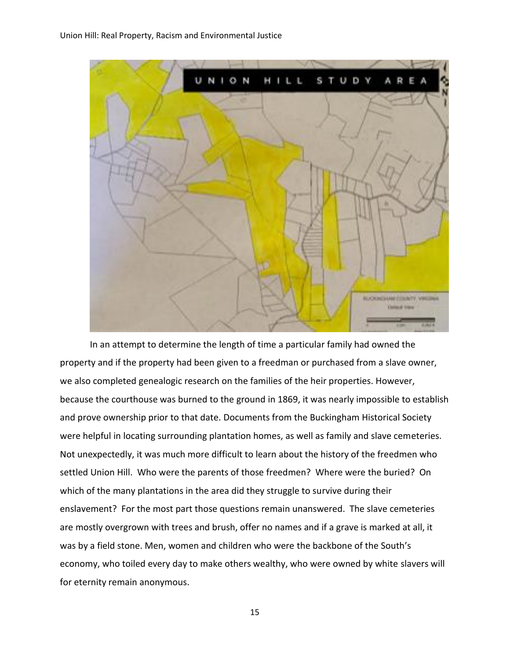

In an attempt to determine the length of time a particular family had owned the property and if the property had been given to a freedman or purchased from a slave owner, we also completed genealogic research on the families of the heir properties. However, because the courthouse was burned to the ground in 1869, it was nearly impossible to establish and prove ownership prior to that date. Documents from the Buckingham Historical Society were helpful in locating surrounding plantation homes, as well as family and slave cemeteries. Not unexpectedly, it was much more difficult to learn about the history of the freedmen who settled Union Hill. Who were the parents of those freedmen? Where were the buried? On which of the many plantations in the area did they struggle to survive during their enslavement? For the most part those questions remain unanswered. The slave cemeteries are mostly overgrown with trees and brush, offer no names and if a grave is marked at all, it was by a field stone. Men, women and children who were the backbone of the South's economy, who toiled every day to make others wealthy, who were owned by white slavers will for eternity remain anonymous.

15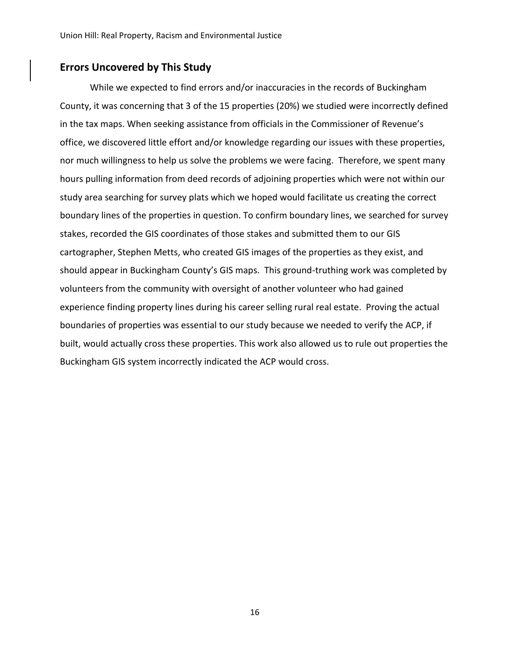# **Errors Uncovered by This Study**

While we expected to find errors and/or inaccuracies in the records of Buckingham County, it was concerning that 3 of the 15 properties (20%) we studied were incorrectly defined in the tax maps. When seeking assistance from officials in the Commissioner of Revenue's office, we discovered little effort and/or knowledge regarding our issues with these properties, nor much willingness to help us solve the problems we were facing. Therefore, we spent many hours pulling information from deed records of adjoining properties which were not within our study area searching for survey plats which we hoped would facilitate us creating the correct boundary lines of the properties in question. To confirm boundary lines, we searched for survey stakes, recorded the GIS coordinates of those stakes and submitted them to our GIS cartographer, Stephen Metts, who created GIS images of the properties as they exist, and should appear in Buckingham County's GIS maps. This ground-truthing work was completed by volunteers from the community with oversight of another volunteer who had gained experience finding property lines during his career selling rural real estate. Proving the actual boundaries of properties was essential to our study because we needed to verify the ACP, if built, would actually cross these properties. This work also allowed us to rule out properties the Buckingham GIS system incorrectly indicated the ACP would cross.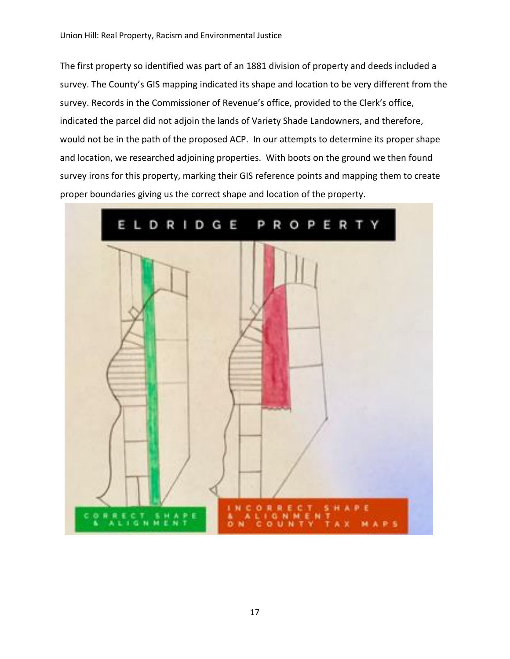The first property so identified was part of an 1881 division of property and deeds included a survey. The County's GIS mapping indicated its shape and location to be very different from the survey. Records in the Commissioner of Revenue's office, provided to the Clerk's office, indicated the parcel did not adjoin the lands of Variety Shade Landowners, and therefore, would not be in the path of the proposed ACP. In our attempts to determine its proper shape and location, we researched adjoining properties. With boots on the ground we then found survey irons for this property, marking their GIS reference points and mapping them to create proper boundaries giving us the correct shape and location of the property.

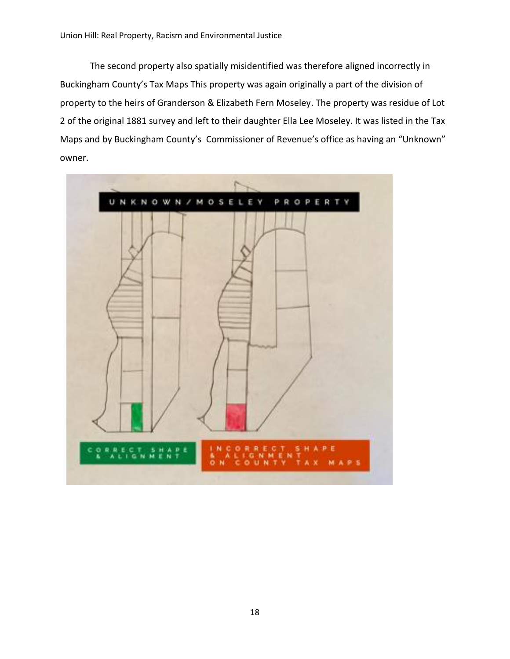The second property also spatially misidentified was therefore aligned incorrectly in Buckingham County's Tax Maps This property was again originally a part of the division of property to the heirs of Granderson & Elizabeth Fern Moseley. The property was residue of Lot 2 of the original 1881 survey and left to their daughter Ella Lee Moseley. It was listed in the Tax Maps and by Buckingham County's Commissioner of Revenue's office as having an "Unknown" owner.

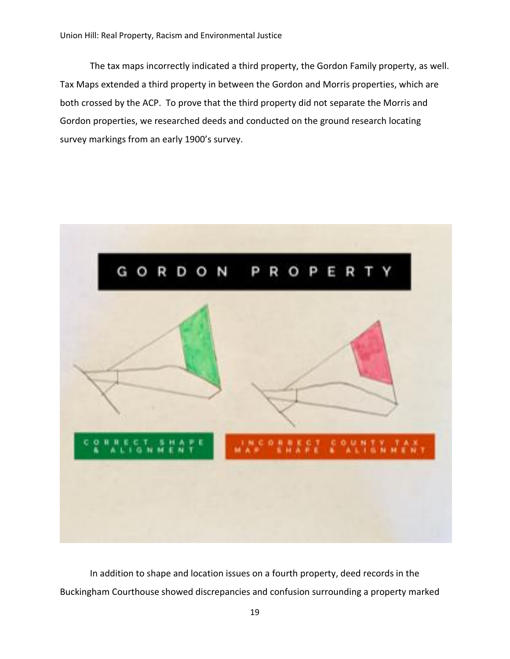The tax maps incorrectly indicated a third property, the Gordon Family property, as well. Tax Maps extended a third property in between the Gordon and Morris properties, which are both crossed by the ACP. To prove that the third property did not separate the Morris and Gordon properties, we researched deeds and conducted on the ground research locating survey markings from an early 1900's survey.



In addition to shape and location issues on a fourth property, deed records in the Buckingham Courthouse showed discrepancies and confusion surrounding a property marked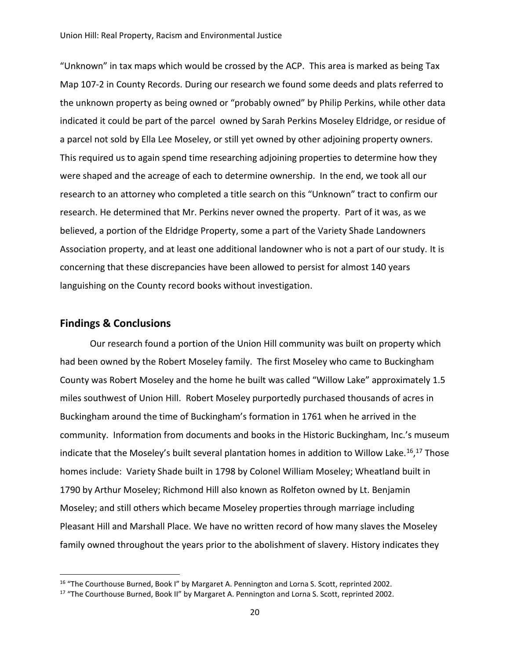"Unknown" in tax maps which would be crossed by the ACP. This area is marked as being Tax Map 107-2 in County Records. During our research we found some deeds and plats referred to the unknown property as being owned or "probably owned" by Philip Perkins, while other data indicated it could be part of the parcel owned by Sarah Perkins Moseley Eldridge, or residue of a parcel not sold by Ella Lee Moseley, or still yet owned by other adjoining property owners. This required us to again spend time researching adjoining properties to determine how they were shaped and the acreage of each to determine ownership. In the end, we took all our research to an attorney who completed a title search on this "Unknown" tract to confirm our research. He determined that Mr. Perkins never owned the property. Part of it was, as we believed, a portion of the Eldridge Property, some a part of the Variety Shade Landowners Association property, and at least one additional landowner who is not a part of our study. It is concerning that these discrepancies have been allowed to persist for almost 140 years languishing on the County record books without investigation.

#### **Findings & Conclusions**

Our research found a portion of the Union Hill community was built on property which had been owned by the Robert Moseley family. The first Moseley who came to Buckingham County was Robert Moseley and the home he built was called "Willow Lake" approximately 1.5 miles southwest of Union Hill. Robert Moseley purportedly purchased thousands of acres in Buckingham around the time of Buckingham's formation in 1761 when he arrived in the community. Information from documents and books in the Historic Buckingham, Inc.'s museum indicate that the Moseley's built several plantation homes in addition to Willow Lake.<sup>16</sup>,<sup>17</sup> Those homes include: Variety Shade built in 1798 by Colonel William Moseley; Wheatland built in 1790 by Arthur Moseley; Richmond Hill also known as Rolfeton owned by Lt. Benjamin Moseley; and still others which became Moseley properties through marriage including Pleasant Hill and Marshall Place. We have no written record of how many slaves the Moseley family owned throughout the years prior to the abolishment of slavery. History indicates they

<sup>&</sup>lt;sup>16</sup> "The Courthouse Burned, Book I" by Margaret A. Pennington and Lorna S. Scott, reprinted 2002.

<sup>&</sup>lt;sup>17</sup> "The Courthouse Burned, Book II" by Margaret A. Pennington and Lorna S. Scott, reprinted 2002.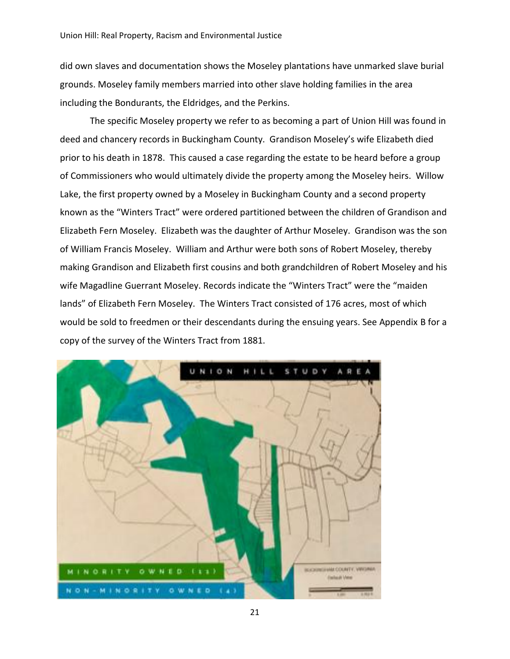did own slaves and documentation shows the Moseley plantations have unmarked slave burial grounds. Moseley family members married into other slave holding families in the area including the Bondurants, the Eldridges, and the Perkins.

The specific Moseley property we refer to as becoming a part of Union Hill was found in deed and chancery records in Buckingham County. Grandison Moseley's wife Elizabeth died prior to his death in 1878. This caused a case regarding the estate to be heard before a group of Commissioners who would ultimately divide the property among the Moseley heirs. Willow Lake, the first property owned by a Moseley in Buckingham County and a second property known as the "Winters Tract" were ordered partitioned between the children of Grandison and Elizabeth Fern Moseley. Elizabeth was the daughter of Arthur Moseley. Grandison was the son of William Francis Moseley. William and Arthur were both sons of Robert Moseley, thereby making Grandison and Elizabeth first cousins and both grandchildren of Robert Moseley and his wife Magadline Guerrant Moseley. Records indicate the "Winters Tract" were the "maiden lands" of Elizabeth Fern Moseley. The Winters Tract consisted of 176 acres, most of which would be sold to freedmen or their descendants during the ensuing years. See Appendix B for a copy of the survey of the Winters Tract from 1881.

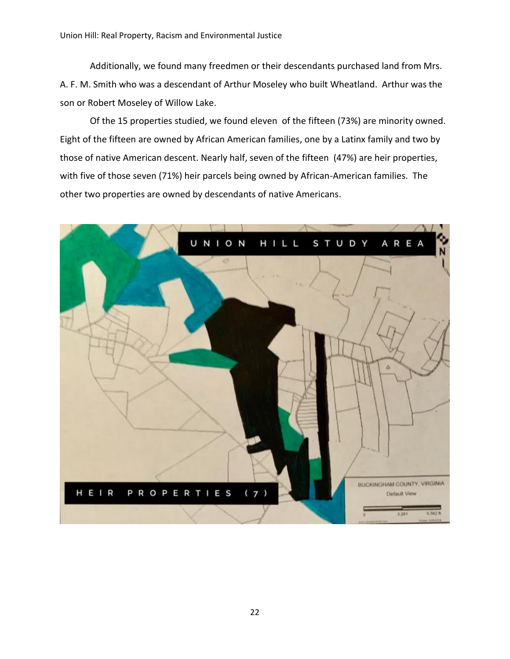Additionally, we found many freedmen or their descendants purchased land from Mrs. A. F. M. Smith who was a descendant of Arthur Moseley who built Wheatland. Arthur was the son or Robert Moseley of Willow Lake.

Of the 15 properties studied, we found eleven of the fifteen (73%) are minority owned. Eight of the fifteen are owned by African American families, one by a Latinx family and two by those of native American descent. Nearly half, seven of the fifteen (47%) are heir properties, with five of those seven (71%) heir parcels being owned by African-American families. The other two properties are owned by descendants of native Americans.

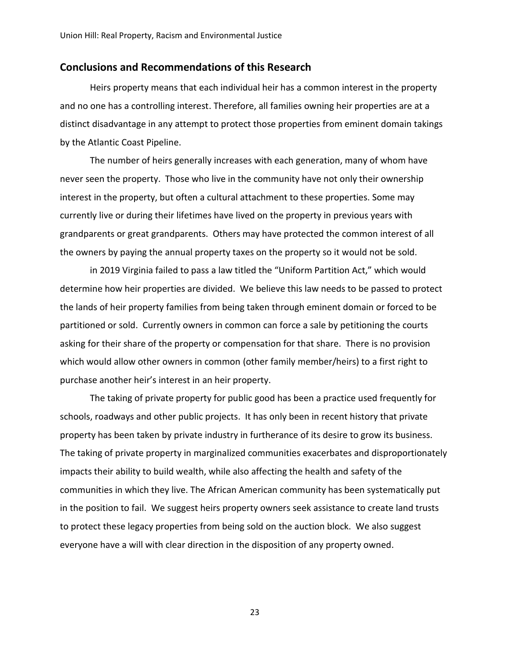# **Conclusions and Recommendations of this Research**

Heirs property means that each individual heir has a common interest in the property and no one has a controlling interest. Therefore, all families owning heir properties are at a distinct disadvantage in any attempt to protect those properties from eminent domain takings by the Atlantic Coast Pipeline.

The number of heirs generally increases with each generation, many of whom have never seen the property. Those who live in the community have not only their ownership interest in the property, but often a cultural attachment to these properties. Some may currently live or during their lifetimes have lived on the property in previous years with grandparents or great grandparents. Others may have protected the common interest of all the owners by paying the annual property taxes on the property so it would not be sold.

in 2019 Virginia failed to pass a law titled the "Uniform Partition Act," which would determine how heir properties are divided. We believe this law needs to be passed to protect the lands of heir property families from being taken through eminent domain or forced to be partitioned or sold. Currently owners in common can force a sale by petitioning the courts asking for their share of the property or compensation for that share. There is no provision which would allow other owners in common (other family member/heirs) to a first right to purchase another heir's interest in an heir property.

The taking of private property for public good has been a practice used frequently for schools, roadways and other public projects. It has only been in recent history that private property has been taken by private industry in furtherance of its desire to grow its business. The taking of private property in marginalized communities exacerbates and disproportionately impacts their ability to build wealth, while also affecting the health and safety of the communities in which they live. The African American community has been systematically put in the position to fail. We suggest heirs property owners seek assistance to create land trusts to protect these legacy properties from being sold on the auction block. We also suggest everyone have a will with clear direction in the disposition of any property owned.

23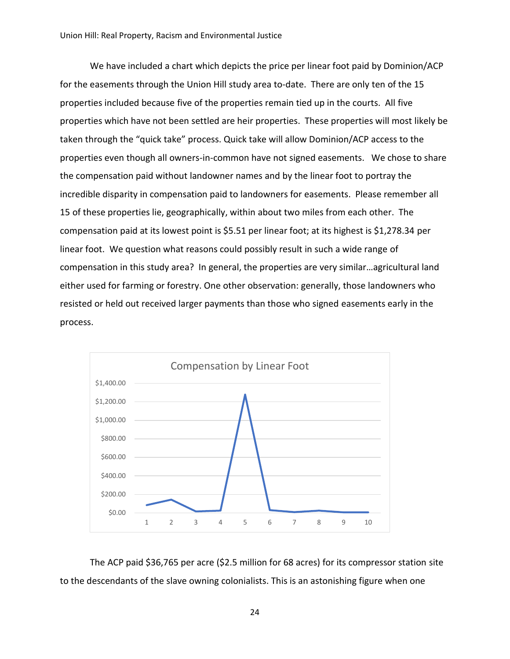We have included a chart which depicts the price per linear foot paid by Dominion/ACP for the easements through the Union Hill study area to-date. There are only ten of the 15 properties included because five of the properties remain tied up in the courts. All five properties which have not been settled are heir properties. These properties will most likely be taken through the "quick take" process. Quick take will allow Dominion/ACP access to the properties even though all owners-in-common have not signed easements. We chose to share the compensation paid without landowner names and by the linear foot to portray the incredible disparity in compensation paid to landowners for easements. Please remember all 15 of these properties lie, geographically, within about two miles from each other. The compensation paid at its lowest point is \$5.51 per linear foot; at its highest is \$1,278.34 per linear foot. We question what reasons could possibly result in such a wide range of compensation in this study area? In general, the properties are very similar…agricultural land either used for farming or forestry. One other observation: generally, those landowners who resisted or held out received larger payments than those who signed easements early in the process.



The ACP paid \$36,765 per acre (\$2.5 million for 68 acres) for its compressor station site to the descendants of the slave owning colonialists. This is an astonishing figure when one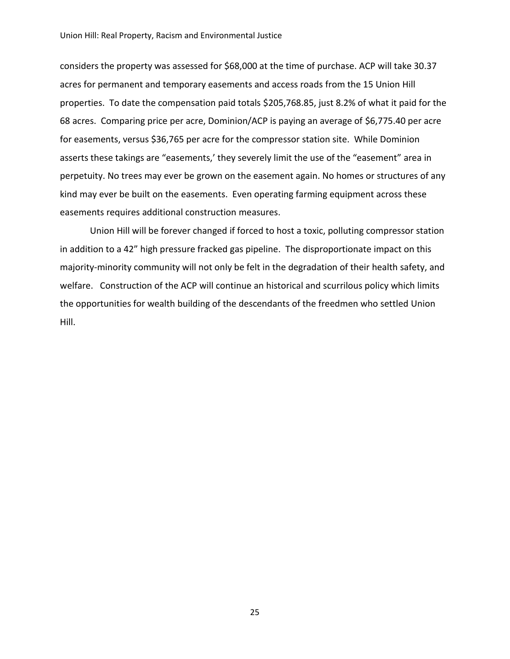considers the property was assessed for \$68,000 at the time of purchase. ACP will take 30.37 acres for permanent and temporary easements and access roads from the 15 Union Hill properties. To date the compensation paid totals \$205,768.85, just 8.2% of what it paid for the 68 acres. Comparing price per acre, Dominion/ACP is paying an average of \$6,775.40 per acre for easements, versus \$36,765 per acre for the compressor station site. While Dominion asserts these takings are "easements,' they severely limit the use of the "easement" area in perpetuity. No trees may ever be grown on the easement again. No homes or structures of any kind may ever be built on the easements. Even operating farming equipment across these easements requires additional construction measures.

Union Hill will be forever changed if forced to host a toxic, polluting compressor station in addition to a 42" high pressure fracked gas pipeline. The disproportionate impact on this majority-minority community will not only be felt in the degradation of their health safety, and welfare. Construction of the ACP will continue an historical and scurrilous policy which limits the opportunities for wealth building of the descendants of the freedmen who settled Union Hill.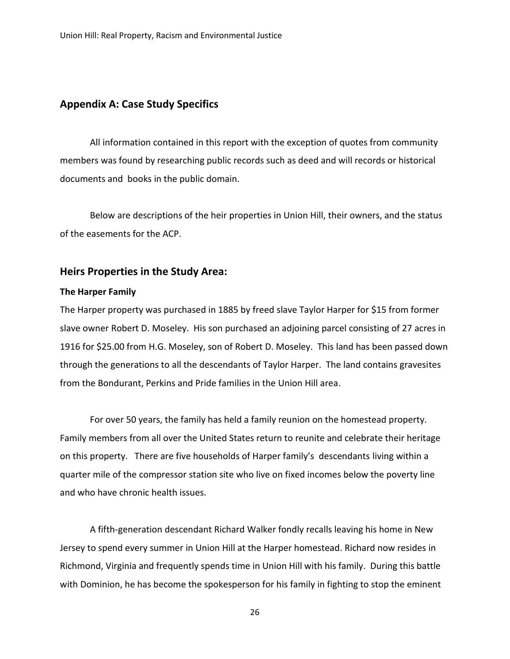# **Appendix A: Case Study Specifics**

All information contained in this report with the exception of quotes from community members was found by researching public records such as deed and will records or historical documents and books in the public domain.

Below are descriptions of the heir properties in Union Hill, their owners, and the status of the easements for the ACP.

# **Heirs Properties in the Study Area:**

#### **The Harper Family**

The Harper property was purchased in 1885 by freed slave Taylor Harper for \$15 from former slave owner Robert D. Moseley. His son purchased an adjoining parcel consisting of 27 acres in 1916 for \$25.00 from H.G. Moseley, son of Robert D. Moseley. This land has been passed down through the generations to all the descendants of Taylor Harper. The land contains gravesites from the Bondurant, Perkins and Pride families in the Union Hill area.

For over 50 years, the family has held a family reunion on the homestead property. Family members from all over the United States return to reunite and celebrate their heritage on this property. There are five households of Harper family's descendants living within a quarter mile of the compressor station site who live on fixed incomes below the poverty line and who have chronic health issues.

A fifth-generation descendant Richard Walker fondly recalls leaving his home in New Jersey to spend every summer in Union Hill at the Harper homestead. Richard now resides in Richmond, Virginia and frequently spends time in Union Hill with his family. During this battle with Dominion, he has become the spokesperson for his family in fighting to stop the eminent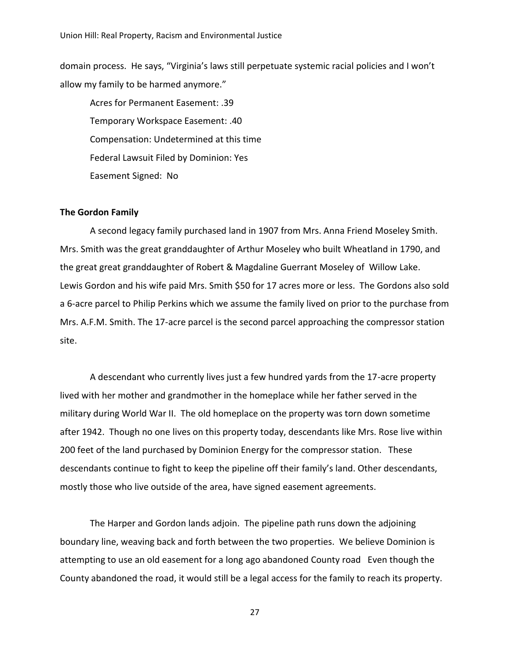domain process. He says, "Virginia's laws still perpetuate systemic racial policies and I won't allow my family to be harmed anymore."

Acres for Permanent Easement: .39 Temporary Workspace Easement: .40 Compensation: Undetermined at this time Federal Lawsuit Filed by Dominion: Yes Easement Signed: No

#### **The Gordon Family**

A second legacy family purchased land in 1907 from Mrs. Anna Friend Moseley Smith. Mrs. Smith was the great granddaughter of Arthur Moseley who built Wheatland in 1790, and the great great granddaughter of Robert & Magdaline Guerrant Moseley of Willow Lake. Lewis Gordon and his wife paid Mrs. Smith \$50 for 17 acres more or less. The Gordons also sold a 6-acre parcel to Philip Perkins which we assume the family lived on prior to the purchase from Mrs. A.F.M. Smith. The 17-acre parcel is the second parcel approaching the compressor station site.

A descendant who currently lives just a few hundred yards from the 17-acre property lived with her mother and grandmother in the homeplace while her father served in the military during World War II. The old homeplace on the property was torn down sometime after 1942. Though no one lives on this property today, descendants like Mrs. Rose live within 200 feet of the land purchased by Dominion Energy for the compressor station. These descendants continue to fight to keep the pipeline off their family's land. Other descendants, mostly those who live outside of the area, have signed easement agreements.

The Harper and Gordon lands adjoin. The pipeline path runs down the adjoining boundary line, weaving back and forth between the two properties. We believe Dominion is attempting to use an old easement for a long ago abandoned County road Even though the County abandoned the road, it would still be a legal access for the family to reach its property.

27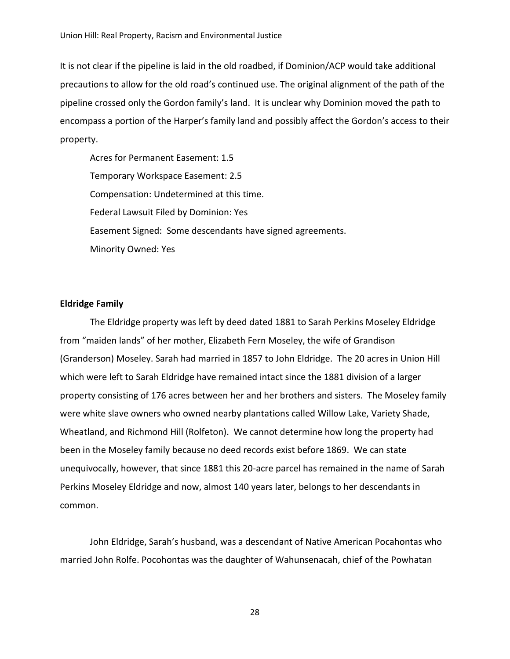It is not clear if the pipeline is laid in the old roadbed, if Dominion/ACP would take additional precautions to allow for the old road's continued use. The original alignment of the path of the pipeline crossed only the Gordon family's land. It is unclear why Dominion moved the path to encompass a portion of the Harper's family land and possibly affect the Gordon's access to their property.

Acres for Permanent Easement: 1.5 Temporary Workspace Easement: 2.5 Compensation: Undetermined at this time. Federal Lawsuit Filed by Dominion: Yes Easement Signed: Some descendants have signed agreements. Minority Owned: Yes

#### **Eldridge Family**

The Eldridge property was left by deed dated 1881 to Sarah Perkins Moseley Eldridge from "maiden lands" of her mother, Elizabeth Fern Moseley, the wife of Grandison (Granderson) Moseley. Sarah had married in 1857 to John Eldridge. The 20 acres in Union Hill which were left to Sarah Eldridge have remained intact since the 1881 division of a larger property consisting of 176 acres between her and her brothers and sisters. The Moseley family were white slave owners who owned nearby plantations called Willow Lake, Variety Shade, Wheatland, and Richmond Hill (Rolfeton). We cannot determine how long the property had been in the Moseley family because no deed records exist before 1869. We can state unequivocally, however, that since 1881 this 20-acre parcel has remained in the name of Sarah Perkins Moseley Eldridge and now, almost 140 years later, belongs to her descendants in common.

John Eldridge, Sarah's husband, was a descendant of Native American Pocahontas who married John Rolfe. Pocohontas was the daughter of Wahunsenacah, chief of the Powhatan

28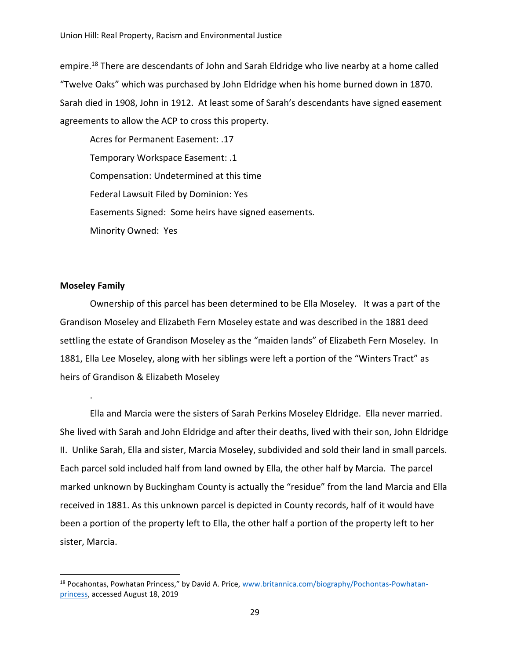empire.<sup>18</sup> There are descendants of John and Sarah Eldridge who live nearby at a home called "Twelve Oaks" which was purchased by John Eldridge when his home burned down in 1870. Sarah died in 1908, John in 1912. At least some of Sarah's descendants have signed easement agreements to allow the ACP to cross this property.

Acres for Permanent Easement: .17 Temporary Workspace Easement: .1 Compensation: Undetermined at this time Federal Lawsuit Filed by Dominion: Yes Easements Signed: Some heirs have signed easements. Minority Owned: Yes

#### **Moseley Family**

.

Ownership of this parcel has been determined to be Ella Moseley. It was a part of the Grandison Moseley and Elizabeth Fern Moseley estate and was described in the 1881 deed settling the estate of Grandison Moseley as the "maiden lands" of Elizabeth Fern Moseley. In 1881, Ella Lee Moseley, along with her siblings were left a portion of the "Winters Tract" as heirs of Grandison & Elizabeth Moseley

Ella and Marcia were the sisters of Sarah Perkins Moseley Eldridge. Ella never married. She lived with Sarah and John Eldridge and after their deaths, lived with their son, John Eldridge II. Unlike Sarah, Ella and sister, Marcia Moseley, subdivided and sold their land in small parcels. Each parcel sold included half from land owned by Ella, the other half by Marcia. The parcel marked unknown by Buckingham County is actually the "residue" from the land Marcia and Ella received in 1881. As this unknown parcel is depicted in County records, half of it would have been a portion of the property left to Ella, the other half a portion of the property left to her sister, Marcia.

<sup>&</sup>lt;sup>18</sup> Pocahontas, Powhatan Princess," by David A. Price, [www.britannica.com/biography/Pochontas-Powhatan](http://www.britannica.com/biography/Pochontas-Powhatan-princess)[princess,](http://www.britannica.com/biography/Pochontas-Powhatan-princess) accessed August 18, 2019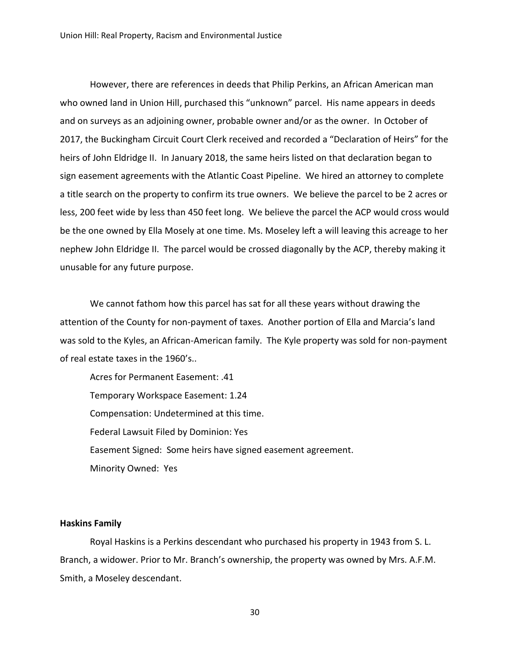However, there are references in deeds that Philip Perkins, an African American man who owned land in Union Hill, purchased this "unknown" parcel. His name appears in deeds and on surveys as an adjoining owner, probable owner and/or as the owner. In October of 2017, the Buckingham Circuit Court Clerk received and recorded a "Declaration of Heirs" for the heirs of John Eldridge II. In January 2018, the same heirs listed on that declaration began to sign easement agreements with the Atlantic Coast Pipeline. We hired an attorney to complete a title search on the property to confirm its true owners. We believe the parcel to be 2 acres or less, 200 feet wide by less than 450 feet long. We believe the parcel the ACP would cross would be the one owned by Ella Mosely at one time. Ms. Moseley left a will leaving this acreage to her nephew John Eldridge II. The parcel would be crossed diagonally by the ACP, thereby making it unusable for any future purpose.

We cannot fathom how this parcel has sat for all these years without drawing the attention of the County for non-payment of taxes. Another portion of Ella and Marcia's land was sold to the Kyles, an African-American family. The Kyle property was sold for non-payment of real estate taxes in the 1960's..

Acres for Permanent Easement: .41 Temporary Workspace Easement: 1.24 Compensation: Undetermined at this time. Federal Lawsuit Filed by Dominion: Yes Easement Signed: Some heirs have signed easement agreement. Minority Owned: Yes

#### **Haskins Family**

Royal Haskins is a Perkins descendant who purchased his property in 1943 from S. L. Branch, a widower. Prior to Mr. Branch's ownership, the property was owned by Mrs. A.F.M. Smith, a Moseley descendant.

30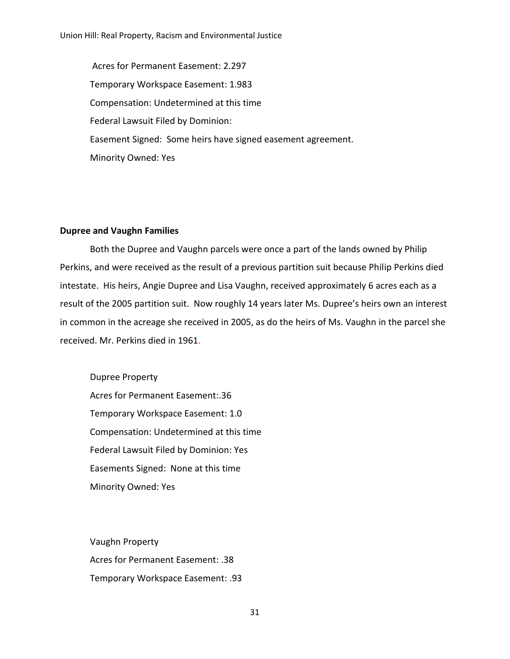Acres for Permanent Easement: 2.297 Temporary Workspace Easement: 1.983 Compensation: Undetermined at this time Federal Lawsuit Filed by Dominion: Easement Signed: Some heirs have signed easement agreement. Minority Owned: Yes

#### **Dupree and Vaughn Families**

Both the Dupree and Vaughn parcels were once a part of the lands owned by Philip Perkins, and were received as the result of a previous partition suit because Philip Perkins died intestate. His heirs, Angie Dupree and Lisa Vaughn, received approximately 6 acres each as a result of the 2005 partition suit. Now roughly 14 years later Ms. Dupree's heirs own an interest in common in the acreage she received in 2005, as do the heirs of Ms. Vaughn in the parcel she received. Mr. Perkins died in 1961.

Dupree Property Acres for Permanent Easement:.36 Temporary Workspace Easement: 1.0 Compensation: Undetermined at this time Federal Lawsuit Filed by Dominion: Yes Easements Signed: None at this time Minority Owned: Yes

Vaughn Property Acres for Permanent Easement: .38 Temporary Workspace Easement: .93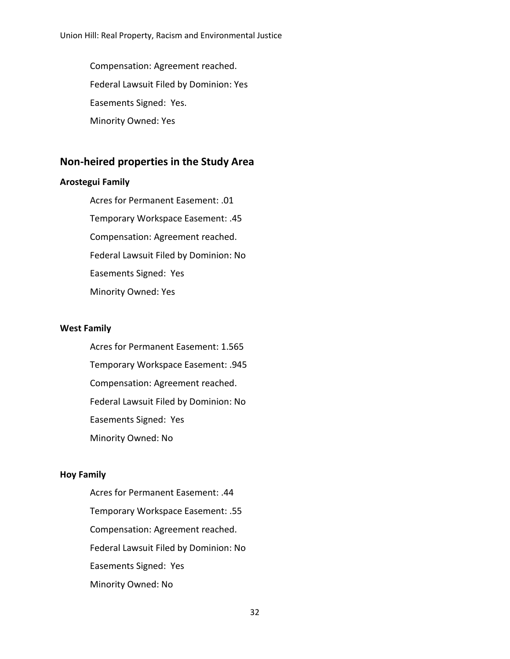Compensation: Agreement reached. Federal Lawsuit Filed by Dominion: Yes Easements Signed: Yes. Minority Owned: Yes

# **Non-heired properties in the Study Area**

#### **Arostegui Family**

Acres for Permanent Easement: .01 Temporary Workspace Easement: .45 Compensation: Agreement reached. Federal Lawsuit Filed by Dominion: No Easements Signed: Yes Minority Owned: Yes

#### **West Family**

Acres for Permanent Easement: 1.565 Temporary Workspace Easement: .945 Compensation: Agreement reached. Federal Lawsuit Filed by Dominion: No Easements Signed: Yes Minority Owned: No

#### **Hoy Family**

Acres for Permanent Easement: .44 Temporary Workspace Easement: .55 Compensation: Agreement reached. Federal Lawsuit Filed by Dominion: No Easements Signed: Yes Minority Owned: No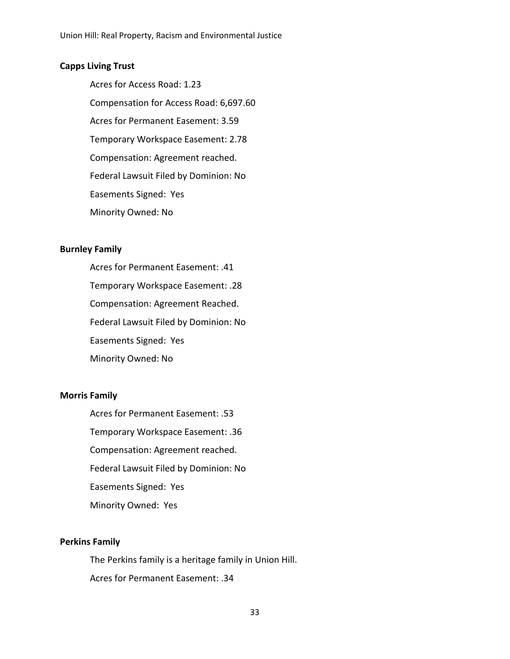# **Capps Living Trust**

Acres for Access Road: 1.23 Compensation for Access Road: 6,697.60 Acres for Permanent Easement: 3.59 Temporary Workspace Easement: 2.78 Compensation: Agreement reached. Federal Lawsuit Filed by Dominion: No Easements Signed: Yes Minority Owned: No

# **Burnley Family**

Acres for Permanent Easement: .41 Temporary Workspace Easement: .28 Compensation: Agreement Reached. Federal Lawsuit Filed by Dominion: No Easements Signed: Yes Minority Owned: No

#### **Morris Family**

Acres for Permanent Easement: .53 Temporary Workspace Easement: .36 Compensation: Agreement reached. Federal Lawsuit Filed by Dominion: No Easements Signed: Yes Minority Owned: Yes

#### **Perkins Family**

The Perkins family is a heritage family in Union Hill. Acres for Permanent Easement: .34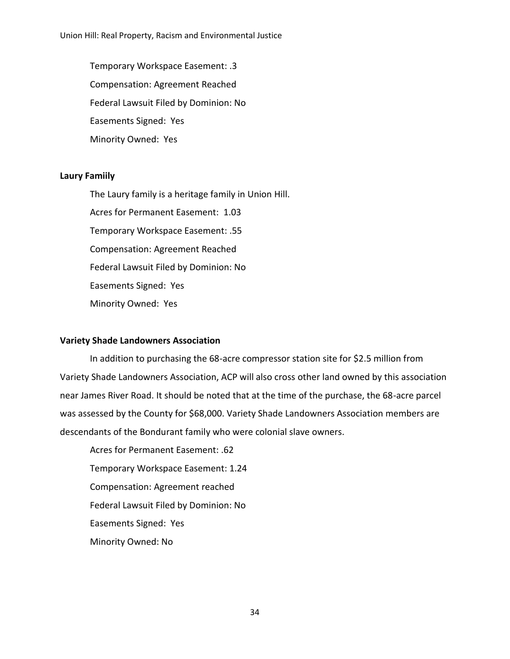Temporary Workspace Easement: .3 Compensation: Agreement Reached Federal Lawsuit Filed by Dominion: No Easements Signed: Yes Minority Owned: Yes

#### **Laury Famiily**

The Laury family is a heritage family in Union Hill. Acres for Permanent Easement: 1.03 Temporary Workspace Easement: .55 Compensation: Agreement Reached Federal Lawsuit Filed by Dominion: No Easements Signed: Yes Minority Owned: Yes

#### **Variety Shade Landowners Association**

In addition to purchasing the 68-acre compressor station site for \$2.5 million from Variety Shade Landowners Association, ACP will also cross other land owned by this association near James River Road. It should be noted that at the time of the purchase, the 68-acre parcel was assessed by the County for \$68,000. Variety Shade Landowners Association members are descendants of the Bondurant family who were colonial slave owners.

Acres for Permanent Easement: .62 Temporary Workspace Easement: 1.24 Compensation: Agreement reached Federal Lawsuit Filed by Dominion: No Easements Signed: Yes Minority Owned: No